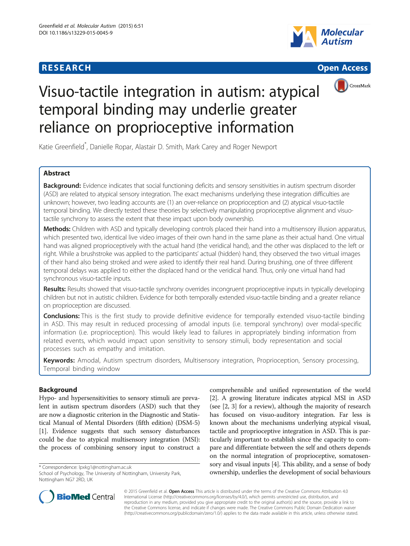





# Visuo-tactile integration in autism: atypical temporal binding may underlie greater reliance on proprioceptive information

Katie Greenfield\* , Danielle Ropar, Alastair D. Smith, Mark Carey and Roger Newport

# Abstract

Background: Evidence indicates that social functioning deficits and sensory sensitivities in autism spectrum disorder (ASD) are related to atypical sensory integration. The exact mechanisms underlying these integration difficulties are unknown; however, two leading accounts are (1) an over-reliance on proprioception and (2) atypical visuo-tactile temporal binding. We directly tested these theories by selectively manipulating proprioceptive alignment and visuotactile synchrony to assess the extent that these impact upon body ownership.

Methods: Children with ASD and typically developing controls placed their hand into a multisensory illusion apparatus, which presented two, identical live video images of their own hand in the same plane as their actual hand. One virtual hand was aligned proprioceptively with the actual hand (the veridical hand), and the other was displaced to the left or right. While a brushstroke was applied to the participants' actual (hidden) hand, they observed the two virtual images of their hand also being stroked and were asked to identify their real hand. During brushing, one of three different temporal delays was applied to either the displaced hand or the veridical hand. Thus, only one virtual hand had synchronous visuo-tactile inputs.

Results: Results showed that visuo-tactile synchrony overrides incongruent proprioceptive inputs in typically developing children but not in autistic children. Evidence for both temporally extended visuo-tactile binding and a greater reliance on proprioception are discussed.

Conclusions: This is the first study to provide definitive evidence for temporally extended visuo-tactile binding in ASD. This may result in reduced processing of amodal inputs (i.e. temporal synchrony) over modal-specific information (i.e. proprioception). This would likely lead to failures in appropriately binding information from related events, which would impact upon sensitivity to sensory stimuli, body representation and social processes such as empathy and imitation.

Keywords: Amodal, Autism spectrum disorders, Multisensory integration, Proprioception, Sensory processing, Temporal binding window

# Background

Hypo- and hypersensitivities to sensory stimuli are prevalent in autism spectrum disorders (ASD) such that they are now a diagnostic criterion in the Diagnostic and Statistical Manual of Mental Disorders (fifth edition) (DSM-5) [[1\]](#page-9-0). Evidence suggests that such sensory disturbances could be due to atypical multisensory integration (MSI): the process of combining sensory input to construct a

comprehensible and unified representation of the world [[2\]](#page-9-0). A growing literature indicates atypical MSI in ASD (see [\[2](#page-9-0), [3](#page-9-0)] for a review), although the majority of research has focused on visuo-auditory integration. Far less is known about the mechanisms underlying atypical visual, tactile and proprioceptive integration in ASD. This is particularly important to establish since the capacity to compare and differentiate between the self and others depends on the normal integration of proprioceptive, somatosensory and visual inputs [[4](#page-9-0)]. This ability, and a sense of body \* Correspondence: [lpxkg1@nottingham.ac.uk](mailto:lpxkg1@nottingham.ac.uk)<br>School of Psychology, The University of Nottingham, University Park, **ownership, underlies the development of social behaviours** 



© 2015 Greenfield et al. Open Access This article is distributed under the terms of the Creative Commons Attribution 4.0 International License [\(http://creativecommons.org/licenses/by/4.0/](http://creativecommons.org/licenses/by/4.0/)), which permits unrestricted use, distribution, and reproduction in any medium, provided you give appropriate credit to the original author(s) and the source, provide a link to the Creative Commons license, and indicate if changes were made. The Creative Commons Public Domain Dedication waiver [\(http://creativecommons.org/publicdomain/zero/1.0/](http://creativecommons.org/publicdomain/zero/1.0/)) applies to the data made available in this article, unless otherwise stated.

School of Psychology, The University of Nottingham, University Park, Nottingham NG7 2RD, UK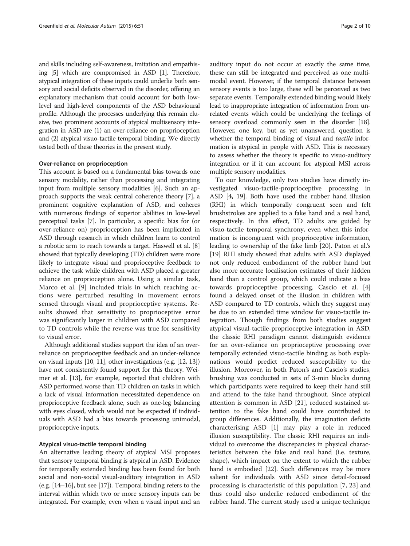and skills including self-awareness, imitation and empathising [\[5\]](#page-9-0) which are compromised in ASD [\[1\]](#page-9-0). Therefore, atypical integration of these inputs could underlie both sensory and social deficits observed in the disorder, offering an explanatory mechanism that could account for both lowlevel and high-level components of the ASD behavioural profile. Although the processes underlying this remain elusive, two prominent accounts of atypical multisensory integration in ASD are (1) an over-reliance on proprioception and (2) atypical visuo-tactile temporal binding. We directly tested both of these theories in the present study.

# Over-reliance on proprioception

This account is based on a fundamental bias towards one sensory modality, rather than processing and integrating input from multiple sensory modalities [[6](#page-9-0)]. Such an approach supports the weak central coherence theory [[7\]](#page-9-0), a prominent cognitive explanation of ASD, and coheres with numerous findings of superior abilities in low-level perceptual tasks [[7\]](#page-9-0). In particular, a specific bias for (or over-reliance on) proprioception has been implicated in ASD through research in which children learn to control a robotic arm to reach towards a target. Haswell et al. [[8](#page-9-0)] showed that typically developing (TD) children were more likely to integrate visual and proprioceptive feedback to achieve the task while children with ASD placed a greater reliance on proprioception alone. Using a similar task, Marco et al. [[9\]](#page-9-0) included trials in which reaching actions were perturbed resulting in movement errors sensed through visual and proprioceptive systems. Results showed that sensitivity to proprioceptive error was significantly larger in children with ASD compared to TD controls while the reverse was true for sensitivity to visual error.

Although additional studies support the idea of an overreliance on proprioceptive feedback and an under-reliance on visual inputs [[10](#page-9-0), [11\]](#page-9-0), other investigations (e.g. [\[12, 13](#page-9-0)]) have not consistently found support for this theory. Weimer et al. [\[13\]](#page-9-0), for example, reported that children with ASD performed worse than TD children on tasks in which a lack of visual information necessitated dependence on proprioceptive feedback alone, such as one-leg balancing with eyes closed, which would not be expected if individuals with ASD had a bias towards processing unimodal, proprioceptive inputs.

# Atypical visuo-tactile temporal binding

An alternative leading theory of atypical MSI proposes that sensory temporal binding is atypical in ASD. Evidence for temporally extended binding has been found for both social and non-social visual-auditory integration in ASD (e.g. [[14](#page-9-0)–[16\]](#page-9-0), but see [\[17\]](#page-9-0)). Temporal binding refers to the interval within which two or more sensory inputs can be integrated. For example, even when a visual input and an

auditory input do not occur at exactly the same time, these can still be integrated and perceived as one multimodal event. However, if the temporal distance between sensory events is too large, these will be perceived as two separate events. Temporally extended binding would likely lead to inappropriate integration of information from unrelated events which could be underlying the feelings of sensory overload commonly seen in the disorder [[18](#page-9-0)]. However, one key, but as yet unanswered, question is whether the temporal binding of visual and tactile information is atypical in people with ASD. This is necessary to assess whether the theory is specific to visuo-auditory integration or if it can account for atypical MSI across multiple sensory modalities.

To our knowledge, only two studies have directly investigated visuo-tactile-proprioceptive processing in ASD [[4, 19](#page-9-0)]. Both have used the rubber hand illusion (RHI) in which temporally congruent seen and felt brushstrokes are applied to a fake hand and a real hand, respectively. In this effect, TD adults are guided by visuo-tactile temporal synchrony, even when this information is incongruent with proprioceptive information, leading to ownership of the fake limb [[20\]](#page-9-0). Paton et al.'s [[19\]](#page-9-0) RHI study showed that adults with ASD displayed not only reduced embodiment of the rubber hand but also more accurate localisation estimates of their hidden hand than a control group, which could indicate a bias towards proprioceptive processing. Cascio et al. [\[4](#page-9-0)] found a delayed onset of the illusion in children with ASD compared to TD controls, which they suggest may be due to an extended time window for visuo-tactile integration. Though findings from both studies suggest atypical visual-tactile-proprioceptive integration in ASD, the classic RHI paradigm cannot distinguish evidence for an over-reliance on proprioceptive processing over temporally extended visuo-tactile binding as both explanations would predict reduced susceptibility to the illusion. Moreover, in both Paton's and Cascio's studies, brushing was conducted in sets of 3-min blocks during which participants were required to keep their hand still and attend to the fake hand throughout. Since atypical attention is common in ASD [[21](#page-9-0)], reduced sustained attention to the fake hand could have contributed to group differences. Additionally, the imagination deficits characterising ASD [\[1\]](#page-9-0) may play a role in reduced illusion susceptibility. The classic RHI requires an individual to overcome the discrepancies in physical characteristics between the fake and real hand (i.e. texture, shape), which impact on the extent to which the rubber hand is embodied [[22](#page-9-0)]. Such differences may be more salient for individuals with ASD since detail-focused processing is characteristic of this population [\[7](#page-9-0), [23](#page-9-0)] and thus could also underlie reduced embodiment of the rubber hand. The current study used a unique technique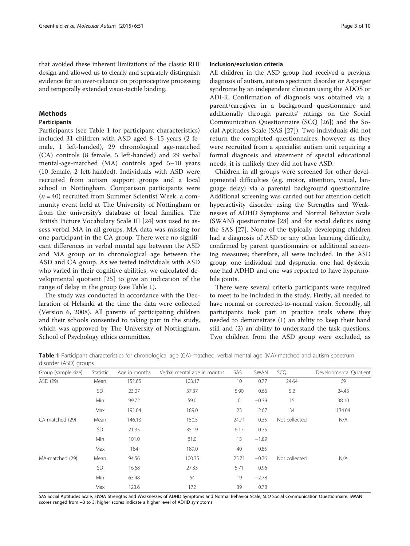that avoided these inherent limitations of the classic RHI design and allowed us to clearly and separately distinguish evidence for an over-reliance on proprioceptive processing and temporally extended visuo-tactile binding.

# Methods

# **Participants**

Participants (see Table 1 for participant characteristics) included 31 children with ASD aged 8–15 years (2 female, 1 left-handed), 29 chronological age-matched (CA) controls (8 female, 5 left-handed) and 29 verbal mental-age-matched (MA) controls aged 5–10 years (10 female, 2 left-handed). Individuals with ASD were recruited from autism support groups and a local school in Nottingham. Comparison participants were  $(n = 40)$  recruited from Summer Scientist Week, a community event held at The University of Nottingham or from the university's database of local families. The British Picture Vocabulary Scale III [[24](#page-9-0)] was used to assess verbal MA in all groups. MA data was missing for one participant in the CA group. There were no significant differences in verbal mental age between the ASD and MA group or in chronological age between the ASD and CA group. As we tested individuals with ASD who varied in their cognitive abilities, we calculated developmental quotient [\[25](#page-9-0)] to give an indication of the range of delay in the group (see Table 1).

The study was conducted in accordance with the Declaration of Helsinki at the time the data were collected (Version 6, 2008). All parents of participating children and their schools consented to taking part in the study, which was approved by The University of Nottingham, School of Psychology ethics committee.

# Inclusion/exclusion criteria

All children in the ASD group had received a previous diagnosis of autism, autism spectrum disorder or Asperger syndrome by an independent clinician using the ADOS or ADI-R. Confirmation of diagnosis was obtained via a parent/caregiver in a background questionnaire and additionally through parents' ratings on the Social Communication Questionnaire (SCQ [[26\]](#page-9-0)) and the Social Aptitudes Scale (SAS [[27\]](#page-9-0)). Two individuals did not return the completed questionnaires; however, as they were recruited from a specialist autism unit requiring a formal diagnosis and statement of special educational needs, it is unlikely they did not have ASD.

Children in all groups were screened for other developmental difficulties (e.g. motor, attention, visual, language delay) via a parental background questionnaire. Additional screening was carried out for attention deficit hyperactivity disorder using the Strengths and Weaknesses of ADHD Symptoms and Normal Behavior Scale (SWAN) questionnaire [[28](#page-9-0)] and for social deficits using the SAS [[27](#page-9-0)]. None of the typically developing children had a diagnosis of ASD or any other learning difficulty, confirmed by parent questionnaire or additional screening measures; therefore, all were included. In the ASD group, one individual had dyspraxia, one had dyslexia, one had ADHD and one was reported to have hypermobile joints.

There were several criteria participants were required to meet to be included in the study. Firstly, all needed to have normal or corrected-to-normal vision. Secondly, all participants took part in practice trials where they needed to demonstrate (1) an ability to keep their hand still and (2) an ability to understand the task questions. Two children from the ASD group were excluded, as

Table 1 Participant characteristics for chronological age (CA)-matched, verbal mental age (MA)-matched and autism spectrum disorder (ASD) groups

| Group (sample size) | Statistic | Age in months | Verbal mental age in months | SAS          | SWAN    | SCQ           | Developmental Quotient |
|---------------------|-----------|---------------|-----------------------------|--------------|---------|---------------|------------------------|
| ASD (29)            | Mean      | 151.65        | 103.17                      | 10           | 0.77    | 24.64         | 69                     |
|                     | <b>SD</b> | 23.07         | 37.37                       | 5.90         | 0.66    | 5.2           | 24.43                  |
|                     | Min       | 99.72         | 59.0                        | $\mathbf{0}$ | $-0.39$ | 15            | 38.10                  |
|                     | Max       | 191.04        | 189.0                       | 23           | 2.67    | 34            | 134.04                 |
| CA-matched (29)     | Mean      | 146.13        | 150.5                       | 24.71        | 0.35    | Not collected | N/A                    |
|                     | <b>SD</b> | 21.35         | 35.19                       | 6.17         | 0.75    |               |                        |
|                     | Min       | 101.0         | 81.0                        | 13           | $-1.89$ |               |                        |
|                     | Max       | 184           | 189.0                       | 40           | 0.85    |               |                        |
| MA-matched (29)     | Mean      | 94.56         | 100.35                      | 25.71        | $-0.76$ | Not collected | N/A                    |
|                     | <b>SD</b> | 16.68         | 27.33                       | 5.71         | 0.96    |               |                        |
|                     | Min       | 63.48         | 64                          | 19           | $-2.78$ |               |                        |
|                     | Max       | 123.6         | 172                         | 39           | 0.78    |               |                        |

SAS Social Aptitudes Scale, SWAN Strengths and Weaknesses of ADHD Symptoms and Normal Behavior Scale, SCQ Social Communication Questionnaire. SWAN scores ranged from −3 to 3; higher scores indicate a higher level of ADHD symptoms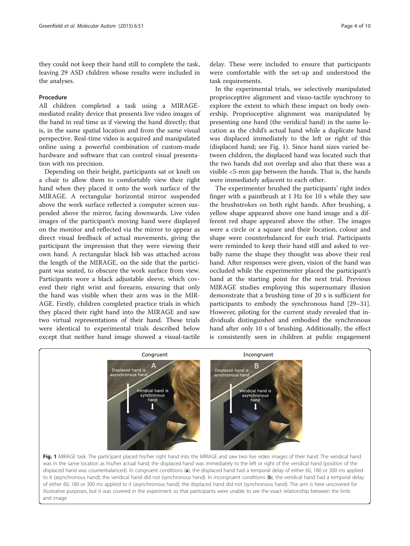they could not keep their hand still to complete the task, leaving 29 ASD children whose results were included in the analyses.

# Procedure

All children completed a task using a MIRAGEmediated reality device that presents live video images of the hand in real time as if viewing the hand directly; that is, in the same spatial location and from the same visual perspective. Real-time video is acquired and manipulated online using a powerful combination of custom-made hardware and software that can control visual presentation with ms precision.

Depending on their height, participants sat or knelt on a chair to allow them to comfortably view their right hand when they placed it onto the work surface of the MIRAGE. A rectangular horizontal mirror suspended above the work surface reflected a computer screen suspended above the mirror, facing downwards. Live video images of the participant's moving hand were displayed on the monitor and reflected via the mirror to appear as direct visual feedback of actual movements, giving the participant the impression that they were viewing their own hand. A rectangular black bib was attached across the length of the MIRAGE, on the side that the participant was seated, to obscure the work surface from view. Participants wore a black adjustable sleeve, which covered their right wrist and forearm, ensuring that only the hand was visible when their arm was in the MIR-AGE. Firstly, children completed practice trials in which they placed their right hand into the MIRAGE and saw two virtual representations of their hand. These trials were identical to experimental trials described below except that neither hand image showed a visual-tactile delay. These were included to ensure that participants were comfortable with the set-up and understood the task requirements.

In the experimental trials, we selectively manipulated proprioceptive alignment and visuo-tactile synchrony to explore the extent to which these impact on body ownership. Proprioceptive alignment was manipulated by presenting one hand (the veridical hand) in the same location as the child's actual hand while a duplicate hand was displaced immediately to the left or right of this (displaced hand; see Fig. 1). Since hand sizes varied between children, the displaced hand was located such that the two hands did not overlap and also that there was a visible <5-mm gap between the hands. That is, the hands were immediately adjacent to each other.

The experimenter brushed the participants' right index finger with a paintbrush at 1 Hz for 10 s while they saw the brushstrokes on both right hands. After brushing, a yellow shape appeared above one hand image and a different red shape appeared above the other. The images were a circle or a square and their location, colour and shape were counterbalanced for each trial. Participants were reminded to keep their hand still and asked to verbally name the shape they thought was above their real hand. After responses were given, vision of the hand was occluded while the experimenter placed the participant's hand at the starting point for the next trial. Previous MIRAGE studies employing this supernumary illusion demonstrate that a brushing time of 20 s is sufficient for participants to embody the synchronous hand [[29](#page-9-0)–[31](#page-9-0)]. However, piloting for the current study revealed that individuals distinguished and embodied the synchronous hand after only 10 s of brushing. Additionally, the effect is consistently seen in children at public engagement



Fig. 1 MIRAGE task. The participant placed his/her right hand into the MIRAGE and saw two live video images of their hand. The veridical hand was in the same location as his/her actual hand; the displaced hand was immediately to the left or right of the veridical hand (position of the displaced hand was counterbalanced). In congruent conditions (a), the displaced hand had a temporal delay of either 60, 180 or 300 ms applied to it (asynchronous hand); the veridical hand did not (synchronous hand). In incongruent conditions (b), the veridical hand had a temporal delay of either 60, 180 or 300 ms applied to it (asynchronous hand); the displaced hand did not (synchronous hand). The arm is here uncovered for illustrative purposes, but it was covered in the experiment so that participants were unable to see the exact relationship between the limb and image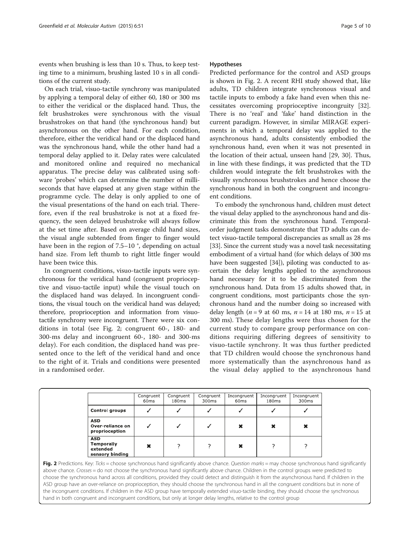<span id="page-4-0"></span>events when brushing is less than 10 s. Thus, to keep testing time to a minimum, brushing lasted 10 s in all conditions of the current study.

On each trial, visuo-tactile synchrony was manipulated by applying a temporal delay of either 60, 180 or 300 ms to either the veridical or the displaced hand. Thus, the felt brushstrokes were synchronous with the visual brushstrokes on that hand (the synchronous hand) but asynchronous on the other hand. For each condition, therefore, either the veridical hand or the displaced hand was the synchronous hand, while the other hand had a temporal delay applied to it. Delay rates were calculated and monitored online and required no mechanical apparatus. The precise delay was calibrated using software 'probes' which can determine the number of milliseconds that have elapsed at any given stage within the programme cycle. The delay is only applied to one of the visual presentations of the hand on each trial. Therefore, even if the real brushstroke is not at a fixed frequency, the seen delayed brushstroke will always follow at the set time after. Based on average child hand sizes, the visual angle subtended from finger to finger would have been in the region of 7.5–10 °, depending on actual hand size. From left thumb to right little finger would have been twice this.

In congruent conditions, visuo-tactile inputs were synchronous for the veridical hand (congruent proprioceptive and visuo-tactile input) while the visual touch on the displaced hand was delayed. In incongruent conditions, the visual touch on the veridical hand was delayed; therefore, proprioception and information from visuotactile synchrony were incongruent. There were six conditions in total (see Fig. 2; congruent 60-, 180- and 300-ms delay and incongruent 60-, 180- and 300-ms delay). For each condition, the displaced hand was presented once to the left of the veridical hand and once to the right of it. Trials and conditions were presented in a randomised order.

# Hypotheses

Predicted performance for the control and ASD groups is shown in Fig. 2. A recent RHI study showed that, like adults, TD children integrate synchronous visual and tactile inputs to embody a fake hand even when this necessitates overcoming proprioceptive incongruity [\[32](#page-9-0)]. There is no 'real' and 'fake' hand distinction in the current paradigm. However, in similar MIRAGE experiments in which a temporal delay was applied to the asynchronous hand, adults consistently embodied the synchronous hand, even when it was not presented in the location of their actual, unseen hand [\[29, 30](#page-9-0)]. Thus, in line with these findings, it was predicted that the TD children would integrate the felt brushstrokes with the visually synchronous brushstrokes and hence choose the synchronous hand in both the congruent and incongruent conditions.

To embody the synchronous hand, children must detect the visual delay applied to the asynchronous hand and discriminate this from the synchronous hand. Temporalorder judgment tasks demonstrate that TD adults can detect visuo-tactile temporal discrepancies as small as 28 ms [[33](#page-9-0)]. Since the current study was a novel task necessitating embodiment of a virtual hand (for which delays of 300 ms have been suggested [[34](#page-9-0)]), piloting was conducted to ascertain the delay lengths applied to the asynchronous hand necessary for it to be discriminated from the synchronous hand. Data from 15 adults showed that, in congruent conditions, most participants chose the synchronous hand and the number doing so increased with delay length ( $n = 9$  at 60 ms,  $n = 14$  at 180 ms,  $n = 15$  at 300 ms). These delay lengths were thus chosen for the current study to compare group performance on conditions requiring differing degrees of sensitivity to visuo-tactile synchrony. It was thus further predicted that TD children would choose the synchronous hand more systematically than the asynchronous hand as the visual delay applied to the asynchronous hand

|                                                         | Congruent<br>60 <sub>ms</sub> | Congruent<br>180 <sub>ms</sub> | Congruent<br>300ms | Incongruent<br>60 <sub>ms</sub> | Incongruent<br>180 <sub>ms</sub> | Incongruent<br>300ms |
|---------------------------------------------------------|-------------------------------|--------------------------------|--------------------|---------------------------------|----------------------------------|----------------------|
| <b>Control groups</b>                                   |                               |                                |                    | u                               |                                  |                      |
| <b>ASD</b><br>Over-reliance on<br>proprioception        |                               |                                |                    | ×                               | ×                                |                      |
| <b>ASD</b><br>Temporally<br>extended<br>sensory binding | ×                             |                                |                    | ×                               |                                  |                      |

Fig. 2 Predictions. Key: Ticks = choose synchronous hand significantly above chance. Question marks = may choose synchronous hand significantly above chance. Crosses = do not choose the synchronous hand significantly above chance. Children in the control groups were predicted to choose the synchronous hand across all conditions, provided they could detect and distinguish it from the asynchronous hand. If children in the ASD group have an over-reliance on proprioception, they should choose the synchronous hand in all the congruent conditions but in none of the incongruent conditions. If children in the ASD group have temporally extended visuo-tactile binding, they should choose the synchronous hand in both congruent and incongruent conditions, but only at longer delay lengths, relative to the control group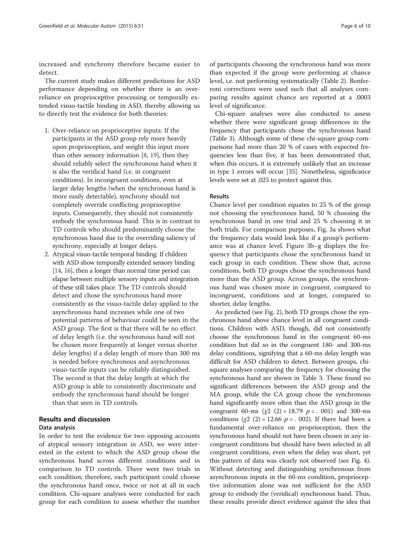increased and synchrony therefore became easier to detect.

The current study makes different predictions for ASD performance depending on whether there is an overreliance on proprioceptive processing or temporally extended visuo-tactile binding in ASD, thereby allowing us to directly test the evidence for both theories:

- 1. Over-reliance on proprioceptive inputs: If the participants in the ASD group rely more heavily upon proprioception, and weight this input more than other sensory information [\[8](#page-9-0), [19\]](#page-9-0), then they should reliably select the synchronous hand when it is also the veridical hand (i.e. in congruent conditions). In incongruent conditions, even at larger delay lengths (when the synchronous hand is more easily detectable), synchrony should not completely override conflicting proprioceptive inputs. Consequently, they should not consistently embody the synchronous hand. This is in contrast to TD controls who should predominantly choose the synchronous hand due to the overriding saliency of synchrony, especially at longer delays.
- 2. Atypical visuo-tactile temporal binding: If children with ASD show temporally extended sensory binding [\[14,](#page-9-0) [16\]](#page-9-0), then a longer than normal time period can elapse between multiple sensory inputs and integration of these still takes place. The TD controls should detect and chose the synchronous hand more consistently as the visuo-tactile delay applied to the asynchronous hand increases while one of two potential patterns of behaviour could be seen in the ASD group. The first is that there will be no effect of delay length (i.e. the synchronous hand will not be chosen more frequently at longer versus shorter delay lengths) if a delay length of more than 300 ms is needed before synchronous and asynchronous visuo-tactile inputs can be reliably distinguished. The second is that the delay length at which the ASD group is able to consistently discriminate and embody the synchronous hand should be longer than that seen in TD controls.

# Results and discussion

# Data analysis

In order to test the evidence for two opposing accounts of atypical sensory integration in ASD, we were interested in the extent to which the ASD group chose the synchronous hand across different conditions and in comparison to TD controls. There were two trials in each condition; therefore, each participant could choose the synchronous hand once, twice or not at all in each condition. Chi-square analyses were conducted for each group for each condition to assess whether the number

of participants choosing the synchronous hand was more than expected if the group were performing at chance level, i.e. not performing systematically (Table [2\)](#page-6-0). Bonferroni corrections were used such that all analyses comparing results against chance are reported at a .0003 level of significance.

Chi-square analyses were also conducted to assess whether there were significant group differences in the frequency that participants chose the synchronous hand (Table [3\)](#page-6-0). Although some of these chi-square group comparisons had more than 20 % of cases with expected frequencies less than five, it has been demonstrated that, when this occurs, it is extremely unlikely that an increase in type 1 errors will occur [\[35\]](#page-9-0). Nonetheless, significance levels were set at .025 to protect against this.

# Results

Chance level per condition equates to 25 % of the group not choosing the synchronous hand, 50 % choosing the synchronous hand in one trial and 25 % choosing it in both trials. For comparison purposes, Fig. [3a](#page-7-0) shows what the frequency data would look like if a group's performance was at chance level. Figure [3b](#page-7-0)–g displays the frequency that participants chose the synchronous hand in each group in each condition. These show that, across conditions, both TD groups chose the synchronous hand more than the ASD group. Across groups, the synchronous hand was chosen more in congruent, compared to incongruent, conditions and at longer, compared to shorter, delay lengths.

As predicted (see Fig. [2](#page-4-0)), both TD groups chose the synchronous hand above chance level in all congruent conditions. Children with ASD, though, did not consistently choose the synchronous hand in the congruent 60-ms condition but did so in the congruent 180- and 300-ms delay conditions, signifying that a 60-ms delay length was difficult for ASD children to detect. Between groups, chisquare analyses comparing the frequency for choosing the synchronous hand are shown in Table [3](#page-6-0). These found no significant differences between the ASD group and the MA group, while the CA group chose the synchronous hand significantly more often than the ASD group in the congruent 60-ms  $(\chi^2 \ (\gamma) = 18.79 \ p \lt 0.001)$  and 300-ms conditions  $(\chi^2)(2) = 12.66$   $p = .002$ ). If there had been a fundamental over-reliance on proprioception, then the synchronous hand should not have been chosen in any incongruent conditions but should have been selected in all congruent conditions, even when the delay was short, yet this pattern of data was clearly not observed (see Fig. [4](#page-7-0)). Without detecting and distinguishing synchronous from asynchronous inputs in the 60-ms condition, proprioceptive information alone was not sufficient for the ASD group to embody the (veridical) synchronous hand. Thus, these results provide direct evidence against the idea that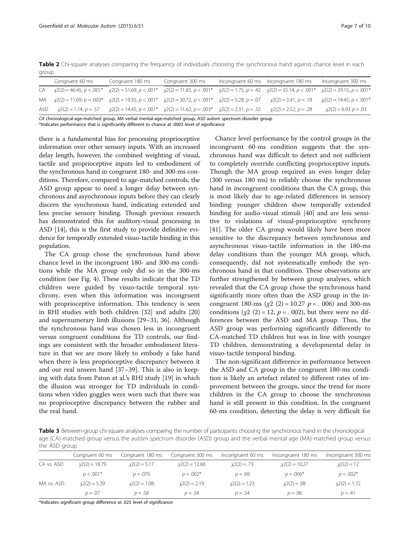<span id="page-6-0"></span>Table 2 Chi-square analyses comparing the frequency of individuals choosing the synchronous hand against chance level in each group

|       | Congruent 60 ms | Congruent 180 ms                                                                                                                                                                          | Congruent 300 ms | Incongruent 60 ms Incongruent 180 ms | Incongruent 300 ms           |
|-------|-----------------|-------------------------------------------------------------------------------------------------------------------------------------------------------------------------------------------|------------------|--------------------------------------|------------------------------|
|       |                 | CA $\chi$ 2(2) = 46.45, p < .001* $\chi$ 2(2) = 51.69, p < .001* $\chi$ 2(2) = 71.83, p < .001* $\chi$ 2(2) = 1.75, p = .42 $\chi$ 2(2) = 35.14, p < .001* $\chi$ 2(2) = 29.15, p < .001* |                  |                                      |                              |
|       |                 | MA $\chi$ 2(2) = 11.69, p = .003* $\chi$ 2(2) = 19.35, p < .001* $\chi$ 2(2) = 30.72, p < .001* $\chi$ 2(2) = 5.28, p = .07 $\chi$ 2(2) = 3.41, p = .18 $\chi$ 2(2) = 14.45, p < .001*    |                  |                                      |                              |
| ASD - |                 | $\chi$ 2(2) = 1.14, p = .57 $\chi$ 2(2) = 14.45, p < .001* $\chi$ 2(2) = 11.62, p = .003* $\chi$ 2(2) = 2.31, p = .32 $\chi$ 2(2) = 2.52, p = .28                                         |                  |                                      | $\chi$ 2(2) = 6.93 $p = .03$ |

CA chronological-age-matched group, MA verbal mental-age-matched group, ASD autism spectrum disorder group

\*Indicates performance that is significantly different to chance at .0003 level of significance

there is a fundamental bias for processing proprioceptive information over other sensory inputs. With an increased delay length, however, the combined weighting of visual, tactile and proprioceptive inputs led to embodiment of the synchronous hand in congruent 180- and 300-ms conditions. Therefore, compared to age-matched controls, the ASD group appear to need a longer delay between synchronous and asynchronous inputs before they can clearly discern the synchronous hand, indicating extended and less precise sensory binding. Though previous research has demonstrated this for auditory-visual processing in ASD [\[14](#page-9-0)], this is the first study to provide definitive evidence for temporally extended visuo-tactile binding in this population.

The CA group chose the synchronous hand above chance level in the incongruent 180- and 300-ms conditions while the MA group only did so in the 300-ms condition (see Fig. [4](#page-7-0)). These results indicate that the TD children were guided by visuo-tactile temporal synchrony, even when this information was incongruent with proprioceptive information. This tendency is seen in RHI studies with both children [[32\]](#page-9-0) and adults [[20](#page-9-0)] and supernumerary limb illusions [\[29](#page-9-0)–[31](#page-9-0), [36](#page-9-0)]. Although the synchronous hand was chosen less in incongruent versus congruent conditions for TD controls, our findings are consistent with the broader embodiment literature in that we are more likely to embody a fake hand when there is less proprioceptive discrepancy between it and our real unseen hand [[37](#page-9-0)–[39\]](#page-9-0). This is also in keeping with data from Paton et al.'s RHI study [\[19\]](#page-9-0) in which the illusion was stronger for TD individuals in conditions when video goggles were worn such that there was no proprioceptive discrepancy between the rubber and the real hand.

Chance level performance by the control groups in the incongruent 60-ms condition suggests that the synchronous hand was difficult to detect and not sufficient to completely override conflicting proprioceptive inputs. Though the MA group required an even longer delay (300 versus 180 ms) to reliably choose the synchronous hand in incongruent conditions than the CA group, this is most likely due to age-related differences in sensory binding: younger children show temporally extended binding for audio-visual stimuli [\[40\]](#page-9-0) and are less sensitive to violations of visual-proprioceptive synchrony [[41\]](#page-9-0). The older CA group would likely have been more sensitive to the discrepancy between synchronous and asynchronous visuo-tactile information in the 180-ms delay conditions than the younger MA group, which, consequently, did not systematically embody the synchronous hand in that condition. These observations are further strengthened by between group analyses, which revealed that the CA group chose the synchronous hand significantly more often than the ASD group in the incongruent 180-ms ( $\chi$ 2 (2) = 10.27  $p$  = . 006) and 300-ms conditions  $(\chi^2)(2) = 12$ ,  $p = .002$ ), but there were no differences between the ASD and MA group. Thus, the ASD group was performing significantly differently to CA-matched TD children but was in line with younger TD children, demonstrating a developmental delay in visuo-tactile temporal binding.

The non-significant difference in performance between the ASD and CA group in the congruent 180-ms condition is likely an artefact related to different rates of improvement between the groups, since the trend for more children in the CA group to choose the synchronous hand is still present in this condition. In the congruent 60-ms condition, detecting the delay is very difficult for

Table 3 Between-group chi-square analyses comparing the number of participants choosing the synchronous hand in the chronological age (CA)-matched group versus the autism spectrum disorder (ASD) group and the verbal mental age (MA)-matched group versus the ASD group

|            | Congruent 60 ms | Congruent 180 ms | Congruent 300 ms | Incongruent 60 ms | Incongruent 180 ms | Incongruent 300 ms |
|------------|-----------------|------------------|------------------|-------------------|--------------------|--------------------|
| CA vs. ASD | $x2(2) = 18.79$ | $x2(2) = 5.17$   | $x2(2) = 12.66$  | $x2(2) = .73$     | $x2(2) = 10.27$    | $x2(2) = 12$       |
|            | $p < .001*$     | $p = .075$       | $p = .002*$      | $p = .69$         | $p = .006*$        | $p = .002*$        |
| MA vs. ASD | $x2(2) = 5.29$  | $x2(2) = 1.08$   | $x2(2) = 2.19$   | $x2(2) = 1.23$    | $x2(2) = .08$      | $x2(2) = 1.72$     |
|            | $p = 0.07$      | $p = .58$        | $p = 0.34$       | $p = .54$         | $p = .96$          | $p = .41$          |

\*Indicates significant group difference at .025 level of significance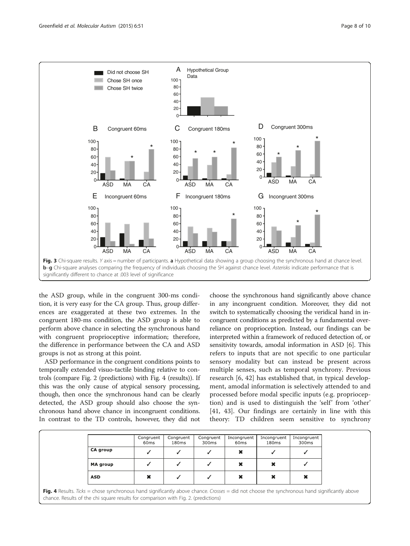<span id="page-7-0"></span>

the ASD group, while in the congruent 300-ms condition, it is very easy for the CA group. Thus, group differences are exaggerated at these two extremes. In the congruent 180-ms condition, the ASD group is able to perform above chance in selecting the synchronous hand with congruent proprioceptive information; therefore, the difference in performance between the CA and ASD groups is not as strong at this point.

ASD performance in the congruent conditions points to temporally extended visuo-tactile binding relative to controls (compare Fig. [2](#page-4-0) (predictions) with Fig. 4 (results)). If this was the only cause of atypical sensory processing, though, then once the synchronous hand can be clearly detected, the ASD group should also choose the synchronous hand above chance in incongruent conditions. In contrast to the TD controls, however, they did not choose the synchronous hand significantly above chance in any incongruent condition. Moreover, they did not switch to systematically choosing the veridical hand in incongruent conditions as predicted by a fundamental overreliance on proprioception. Instead, our findings can be interpreted within a framework of reduced detection of, or sensitivity towards, amodal information in ASD [[6](#page-9-0)]. This refers to inputs that are not specific to one particular sensory modality but can instead be present across multiple senses, such as temporal synchrony. Previous research [[6, 42](#page-9-0)] has established that, in typical development, amodal information is selectively attended to and processed before modal specific inputs (e.g. proprioception) and is used to distinguish the 'self' from 'other' [[41, 43](#page-9-0)]. Our findings are certainly in line with this theory: TD children seem sensitive to synchrony

|                 | Congruent<br>60 <sub>ms</sub> | Congruent<br>180ms | Congruent<br>300ms | Incongruent<br>60 <sub>ms</sub> | Incongruent<br>180ms | Incongruent<br>300ms |
|-----------------|-------------------------------|--------------------|--------------------|---------------------------------|----------------------|----------------------|
| <b>CA group</b> |                               |                    |                    | ×                               |                      |                      |
| MA group        |                               |                    |                    | ×                               | ×                    |                      |
| <b>ASD</b>      | ×                             |                    |                    | ×                               | ×                    | ×                    |

Fig. 4 Results. Ticks = chose synchronous hand significantly above chance. Crosses = did not choose the synchronous hand significantly above chance. Results of the chi square results for comparison with Fig. [2.](#page-4-0) (predictions)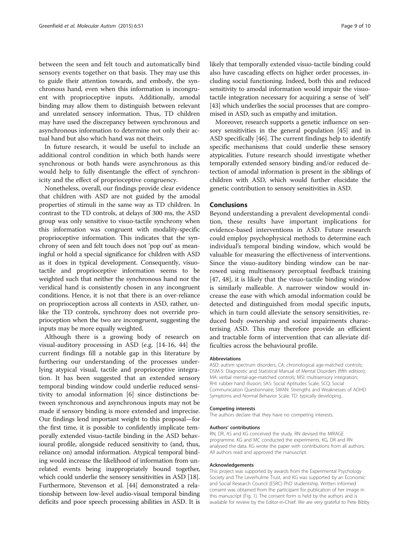between the seen and felt touch and automatically bind sensory events together on that basis. They may use this to guide their attention towards, and embody, the synchronous hand, even when this information is incongruent with proprioceptive inputs. Additionally, amodal binding may allow them to distinguish between relevant and unrelated sensory information. Thus, TD children may have used the discrepancy between synchronous and asynchronous information to determine not only their actual hand but also which hand was not theirs.

In future research, it would be useful to include an additional control condition in which both hands were synchronous or both hands were asynchronous as this would help to fully disentangle the effect of synchronicity and the effect of proprioceptive congruency.

Nonetheless, overall, our findings provide clear evidence that children with ASD are not guided by the amodal properties of stimuli in the same way as TD children. In contrast to the TD controls, at delays of 300 ms, the ASD group was only sensitive to visuo-tactile synchrony when this information was congruent with modality-specific proprioceptive information. This indicates that the synchrony of seen and felt touch does not 'pop out' as meaningful or hold a special significance for children with ASD as it does in typical development. Consequently, visuotactile and proprioceptive information seems to be weighted such that neither the synchronous hand nor the veridical hand is consistently chosen in any incongruent conditions. Hence, it is not that there is an over-reliance on proprioception across all contexts in ASD, rather, unlike the TD controls, synchrony does not override proprioception when the two are incongruent, suggesting the inputs may be more equally weighted.

Although there is a growing body of research on visual-auditory processing in ASD (e.g. [\[14-16](#page-9-0), [44\]](#page-9-0) the current findings fill a notable gap in this literature by furthering our understanding of the processes underlying atypical visual, tactile and proprioceptive integration. It has been suggested that an extended sensory temporal binding window could underlie reduced sensitivity to amodal information [[6\]](#page-9-0) since distinctions between synchronous and asynchronous inputs may not be made if sensory binding is more extended and imprecise. Our findings lend important weight to this proposal—for the first time, it is possible to confidently implicate temporally extended visuo-tactile binding in the ASD behavioural profile, alongside reduced sensitivity to (and, thus, reliance on) amodal information. Atypical temporal binding would increase the likelihood of information from unrelated events being inappropriately bound together, which could underlie the sensory sensitivities in ASD [[18](#page-9-0)]. Furthermore, Stevenson et al. [\[44\]](#page-9-0) demonstrated a relationship between low-level audio-visual temporal binding deficits and poor speech processing abilities in ASD. It is likely that temporally extended visuo-tactile binding could also have cascading effects on higher order processes, including social functioning. Indeed, both this and reduced sensitivity to amodal information would impair the visuotactile integration necessary for acquiring a sense of 'self' [[43](#page-9-0)] which underlies the social processes that are compromised in ASD, such as empathy and imitation.

Moreover, research supports a genetic influence on sensory sensitivities in the general population [\[45\]](#page-9-0) and in ASD specifically [\[46\]](#page-9-0). The current findings help to identify specific mechanisms that could underlie these sensory atypicalities. Future research should investigate whether temporally extended sensory binding and/or reduced detection of amodal information is present in the siblings of children with ASD, which would further elucidate the genetic contribution to sensory sensitivities in ASD.

## Conclusions

Beyond understanding a prevalent developmental condition, these results have important implications for evidence-based interventions in ASD. Future research could employ psychophysical methods to determine each individual's temporal binding window, which would be valuable for measuring the effectiveness of interventions. Since the visuo-auditory binding window can be narrowed using multisensory perceptual feedback training [[47, 48\]](#page-9-0), it is likely that the visuo-tactile binding window is similarly malleable. A narrower window would increase the ease with which amodal information could be detected and distinguished from modal specific inputs, which in turn could alleviate the sensory sensitivities, reduced body ownership and social impairments characterising ASD. This may therefore provide an efficient and tractable form of intervention that can alleviate difficulties across the behavioural profile.

#### Abbreviations

ASD: autism spectrum disorders; CA: chronological age-matched controls; DSM-5: Diagnostic and Statistical Manual of Mental Disorders (fifth edition); MA: verbal mental-age-matched controls; MSI: multisensory integration; RHI: rubber hand illusion; SAS: Social Aptitudes Scale; SCQ: Social Communication Questionnaire; SWAN: Strengths and Weaknesses of ADHD Symptoms and Normal Behavior Scale; TD: typically developing.

#### Competing interests

The authors declare that they have no competing interests.

#### Authors' contributions

RN, DR, AS and KG conceived the study. RN devised the MIRAGE programme. KG and MC conducted the experiments. KG, DR and RN analysed the data. KG wrote the paper with contributions from all authors. All authors read and approved the manuscript.

#### Acknowledgements

This project was supported by awards from the Experimental Psychology Society and The Leverhulme Trust, and KG was supported by an Economic and Social Research Council (ESRC) PhD studentship. Written informed consent was obtained from the participant for publication of her image in this manuscript (Fig. 1). The consent form is held by the authors and is available for review by the Editor-in-Chief. We are very grateful to Pete Bibby